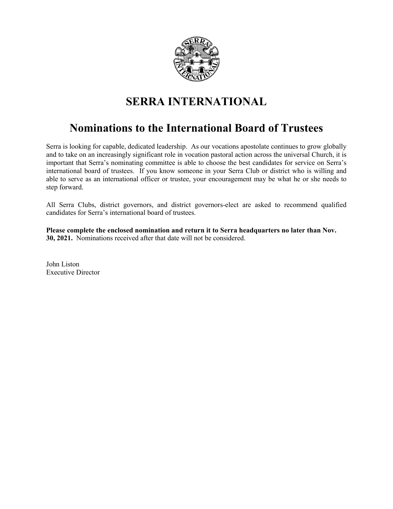

# **SERRA INTERNATIONAL**

## **Nominations to the International Board of Trustees**

Serra is looking for capable, dedicated leadership. As our vocations apostolate continues to grow globally and to take on an increasingly significant role in vocation pastoral action across the universal Church, it is important that Serra's nominating committee is able to choose the best candidates for service on Serra's international board of trustees. If you know someone in your Serra Club or district who is willing and able to serve as an international officer or trustee, your encouragement may be what he or she needs to step forward.

All Serra Clubs, district governors, and district governors-elect are asked to recommend qualified candidates for Serra's international board of trustees.

**Please complete the enclosed nomination and return it to Serra headquarters no later than Nov. 30, 2021.** Nominations received after that date will not be considered.

John Liston Executive Director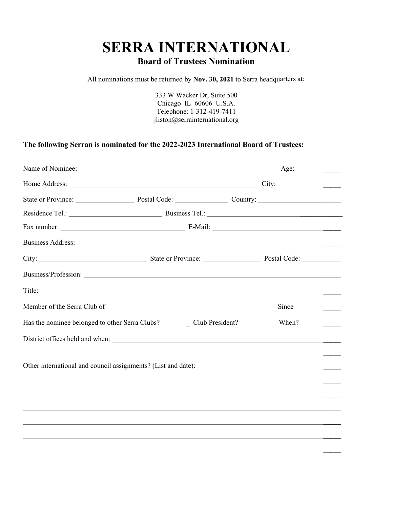# **SERRA INTERNATIONAL Board of Trustees Nomination**

All nominations must be returned by **Nov. 30, 2021** to Serra headquarters at:

333 W Wacker Dr, Suite 500 Chicago IL 60606 U.S.A. Telephone: 1-312-419-7411 jliston@serrainternational.org

#### **The following Serran is nominated for the 2022-2023 International Board of Trustees:**

| Name of Nominee: <u>Name of Nominee:</u> Name of Nominee: Name of Nominee: Name of Nominee: Name of Nominee: Name of Nominee: Name of Nominee: Name of Nominee: Name of Nominee: Name of Nominee: Name of Nominee: Name of Nominee |  |  |
|------------------------------------------------------------------------------------------------------------------------------------------------------------------------------------------------------------------------------------|--|--|
|                                                                                                                                                                                                                                    |  |  |
| State or Province: Postal Code: Country: Country:                                                                                                                                                                                  |  |  |
|                                                                                                                                                                                                                                    |  |  |
|                                                                                                                                                                                                                                    |  |  |
|                                                                                                                                                                                                                                    |  |  |
|                                                                                                                                                                                                                                    |  |  |
|                                                                                                                                                                                                                                    |  |  |
|                                                                                                                                                                                                                                    |  |  |
|                                                                                                                                                                                                                                    |  |  |
|                                                                                                                                                                                                                                    |  |  |
|                                                                                                                                                                                                                                    |  |  |
|                                                                                                                                                                                                                                    |  |  |
|                                                                                                                                                                                                                                    |  |  |
|                                                                                                                                                                                                                                    |  |  |
|                                                                                                                                                                                                                                    |  |  |
|                                                                                                                                                                                                                                    |  |  |
|                                                                                                                                                                                                                                    |  |  |